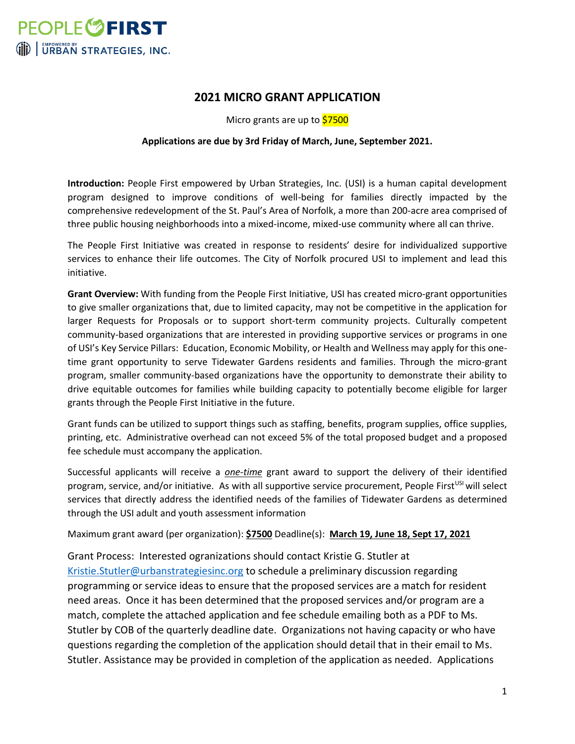

# **2021 MICRO GRANT APPLICATION**

Micro grants are up to \$7500

#### **Applications are due by 3rd Friday of March, June, September 2021.**

**Introduction:** People First empowered by Urban Strategies, Inc. (USI) is a human capital development program designed to improve conditions of well-being for families directly impacted by the comprehensive redevelopment of the St. Paul's Area of Norfolk, a more than 200-acre area comprised of three public housing neighborhoods into a mixed-income, mixed-use community where all can thrive.

The People First Initiative was created in response to residents' desire for individualized supportive services to enhance their life outcomes. The City of Norfolk procured USI to implement and lead this initiative.

**Grant Overview:** With funding from the People First Initiative, USI has created micro-grant opportunities to give smaller organizations that, due to limited capacity, may not be competitive in the application for larger Requests for Proposals or to support short-term community projects. Culturally competent community-based organizations that are interested in providing supportive services or programs in one of USI's Key Service Pillars: Education, Economic Mobility, or Health and Wellness may apply for this onetime grant opportunity to serve Tidewater Gardens residents and families. Through the micro-grant program, smaller community-based organizations have the opportunity to demonstrate their ability to drive equitable outcomes for families while building capacity to potentially become eligible for larger grants through the People First Initiative in the future.

Grant funds can be utilized to support things such as staffing, benefits, program supplies, office supplies, printing, etc. Administrative overhead can not exceed 5% of the total proposed budget and a proposed fee schedule must accompany the application.

Successful applicants will receive a *one-time* grant award to support the delivery of their identified program, service, and/or initiative. As with all supportive service procurement, People First<sup>USI</sup> will select services that directly address the identified needs of the families of Tidewater Gardens as determined through the USI adult and youth assessment information

Maximum grant award (per organization): **\$7500** Deadline(s): **March 19, June 18, Sept 17, 2021**

Grant Process: Interested ogranizations should contact Kristie G. Stutler at [Kristie.Stutler@urbanstrategiesinc.org](mailto:Kristie.Stutler@urbanstrategiesinc.org) to schedule a preliminary discussion regarding programming or service ideas to ensure that the proposed services are a match for resident need areas. Once it has been determined that the proposed services and/or program are a match, complete the attached application and fee schedule emailing both as a PDF to Ms. Stutler by COB of the quarterly deadline date. Organizations not having capacity or who have questions regarding the completion of the application should detail that in their email to Ms. Stutler. Assistance may be provided in completion of the application as needed. Applications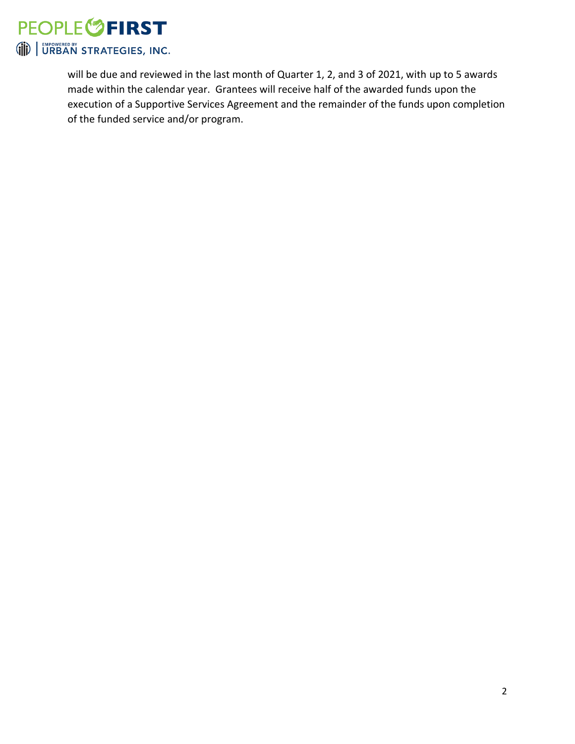

will be due and reviewed in the last month of Quarter 1, 2, and 3 of 2021, with up to 5 awards made within the calendar year. Grantees will receive half of the awarded funds upon the execution of a Supportive Services Agreement and the remainder of the funds upon completion of the funded service and/or program.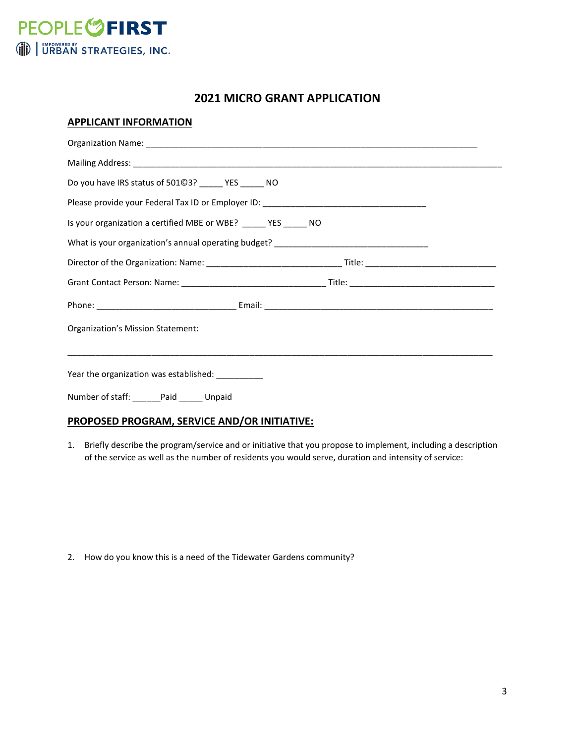

# **2021 MICRO GRANT APPLICATION**

### **APPLICANT INFORMATION**

| Do you have IRS status of 50103? _______ YES _______ NO                           |  |  |  |
|-----------------------------------------------------------------------------------|--|--|--|
| Please provide your Federal Tax ID or Employer ID: ______________________________ |  |  |  |
| Is your organization a certified MBE or WBE? _____ YES _____ NO                   |  |  |  |
| What is your organization's annual operating budget? ___________________________  |  |  |  |
|                                                                                   |  |  |  |
|                                                                                   |  |  |  |
|                                                                                   |  |  |  |
| Organization's Mission Statement:                                                 |  |  |  |
|                                                                                   |  |  |  |
| Year the organization was established: __________                                 |  |  |  |
| Number of staff: ______Paid ______ Unpaid                                         |  |  |  |

## **PROPOSED PROGRAM, SERVICE AND/OR INITIATIVE:**

1. Briefly describe the program/service and or initiative that you propose to implement, including a description of the service as well as the number of residents you would serve, duration and intensity of service:

2. How do you know this is a need of the Tidewater Gardens community?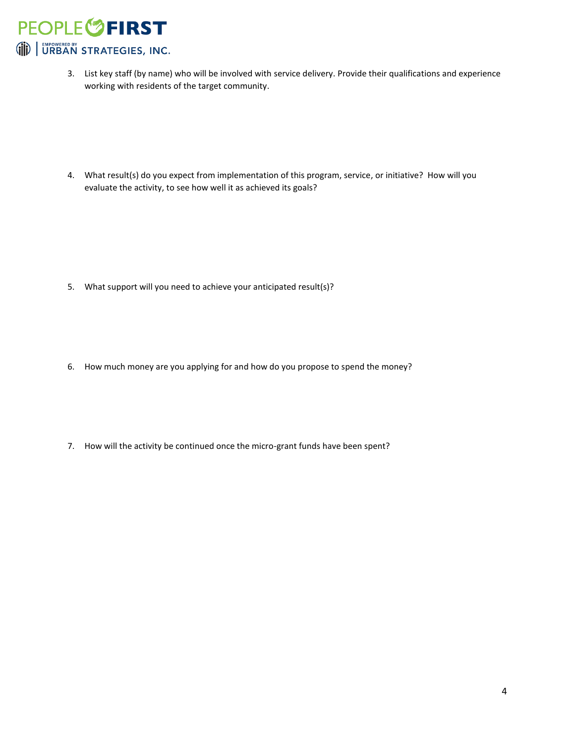**PEOPLE<sup>6</sup>FIRST** (iii) URBAN STRATEGIES, INC.

> 3. List key staff (by name) who will be involved with service delivery. Provide their qualifications and experience working with residents of the target community.

4. What result(s) do you expect from implementation of this program, service, or initiative? How will you evaluate the activity, to see how well it as achieved its goals?

- 5. What support will you need to achieve your anticipated result(s)?
- 6. How much money are you applying for and how do you propose to spend the money?
- 7. How will the activity be continued once the micro-grant funds have been spent?